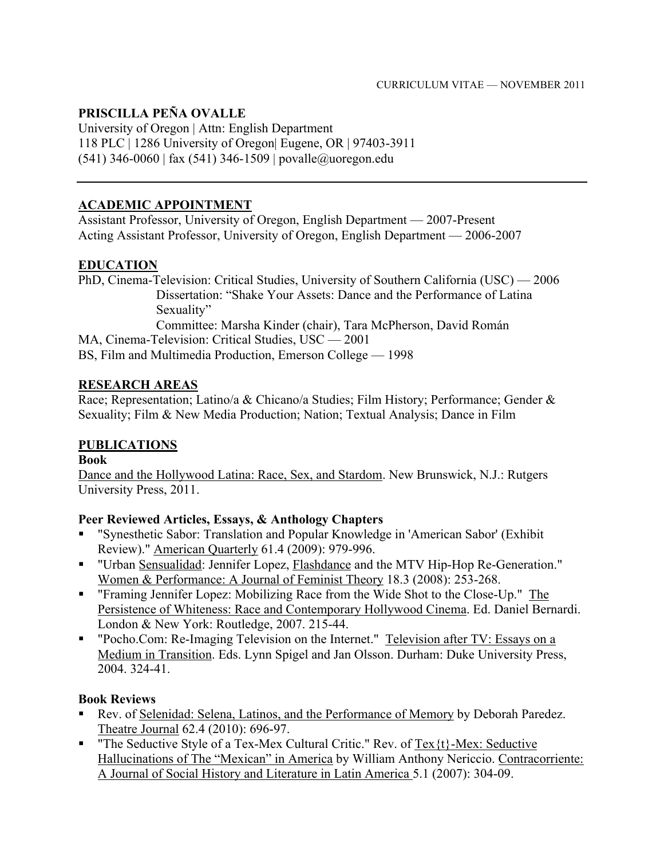#### **PRISCILLA PEÑA OVALLE**

University of Oregon | Attn: English Department 118 PLC | 1286 University of Oregon| Eugene, OR | 97403-3911 (541) 346-0060 | fax (541) 346-1509 | povalle@uoregon.edu

### **ACADEMIC APPOINTMENT**

Assistant Professor, University of Oregon, English Department — 2007-Present Acting Assistant Professor, University of Oregon, English Department — 2006-2007

### **EDUCATION**

PhD, Cinema-Television: Critical Studies, University of Southern California (USC) — 2006 Dissertation: "Shake Your Assets: Dance and the Performance of Latina Sexuality" Committee: Marsha Kinder (chair), Tara McPherson, David Román MA, Cinema-Television: Critical Studies, USC — 2001

BS, Film and Multimedia Production, Emerson College — 1998

### **RESEARCH AREAS**

Race; Representation; Latino/a & Chicano/a Studies; Film History; Performance; Gender & Sexuality; Film & New Media Production; Nation; Textual Analysis; Dance in Film

#### **PUBLICATIONS**

#### **Book**

Dance and the Hollywood Latina: Race, Sex, and Stardom. New Brunswick, N.J.: Rutgers University Press, 2011.

#### **Peer Reviewed Articles, Essays, & Anthology Chapters**

- "Synesthetic Sabor: Translation and Popular Knowledge in 'American Sabor' (Exhibit Review)." American Quarterly 61.4 (2009): 979-996.
- "Urban Sensualidad: Jennifer Lopez, Flashdance and the MTV Hip-Hop Re-Generation." Women & Performance: A Journal of Feminist Theory 18.3 (2008): 253-268.
- "Framing Jennifer Lopez: Mobilizing Race from the Wide Shot to the Close-Up." The Persistence of Whiteness: Race and Contemporary Hollywood Cinema. Ed. Daniel Bernardi. London & New York: Routledge, 2007. 215-44.
- " "Pocho.Com: Re-Imaging Television on the Internet." Television after TV: Essays on a Medium in Transition. Eds. Lynn Spigel and Jan Olsson. Durham: Duke University Press, 2004. 324-41.

#### **Book Reviews**

- Rev. of Selenidad: Selena, Latinos, and the Performance of Memory by Deborah Paredez. Theatre Journal 62.4 (2010): 696-97.
- " The Seductive Style of a Tex-Mex Cultural Critic." Rev. of Tex $\{t\}$ -Mex: Seductive Hallucinations of The "Mexican" in America by William Anthony Nericcio. Contracorriente: A Journal of Social History and Literature in Latin America 5.1 (2007): 304-09.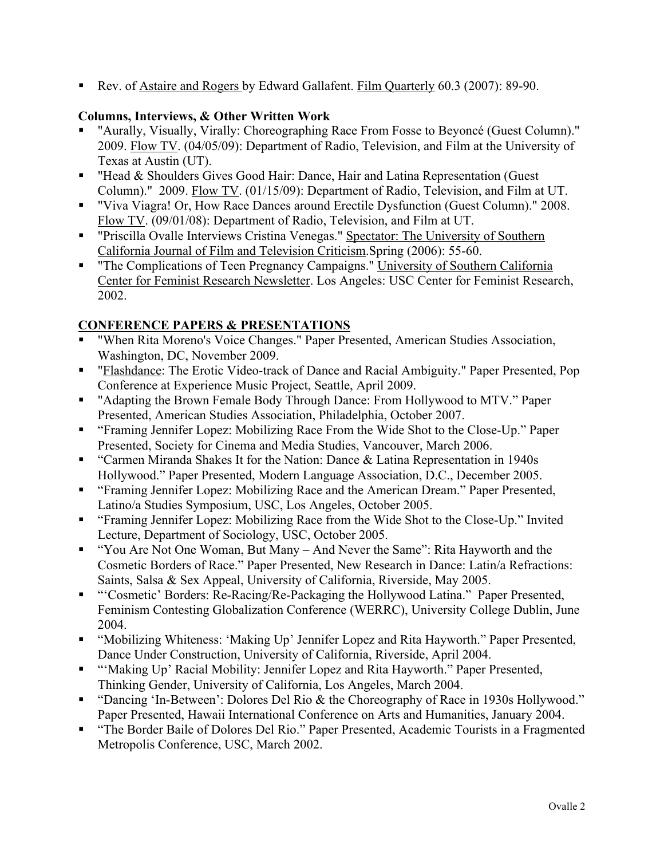Rev. of Astaire and Rogers by Edward Gallafent. Film Quarterly 60.3 (2007): 89-90.

#### **Columns, Interviews, & Other Written Work**

- "Aurally, Visually, Virally: Choreographing Race From Fosse to Beyoncé (Guest Column)." 2009. Flow TV. (04/05/09): Department of Radio, Television, and Film at the University of Texas at Austin (UT).
- "Head & Shoulders Gives Good Hair: Dance, Hair and Latina Representation (Guest Column)." 2009. Flow TV. (01/15/09): Department of Radio, Television, and Film at UT.
- "Viva Viagra! Or, How Race Dances around Erectile Dysfunction (Guest Column)." 2008. Flow TV. (09/01/08): Department of Radio, Television, and Film at UT.
- " "Priscilla Ovalle Interviews Cristina Venegas." Spectator: The University of Southern California Journal of Film and Television Criticism.Spring (2006): 55-60.
- "The Complications of Teen Pregnancy Campaigns." University of Southern California Center for Feminist Research Newsletter. Los Angeles: USC Center for Feminist Research, 2002.

# **CONFERENCE PAPERS & PRESENTATIONS**

- "When Rita Moreno's Voice Changes." Paper Presented, American Studies Association, Washington, DC, November 2009.
- "Flashdance: The Erotic Video-track of Dance and Racial Ambiguity." Paper Presented, Pop Conference at Experience Music Project, Seattle, April 2009.
- "Adapting the Brown Female Body Through Dance: From Hollywood to MTV." Paper Presented, American Studies Association, Philadelphia, October 2007.
- "Framing Jennifer Lopez: Mobilizing Race From the Wide Shot to the Close-Up." Paper Presented, Society for Cinema and Media Studies, Vancouver, March 2006.
- **•** "Carmen Miranda Shakes It for the Nation: Dance & Latina Representation in 1940s Hollywood." Paper Presented, Modern Language Association, D.C., December 2005.
- "Framing Jennifer Lopez: Mobilizing Race and the American Dream." Paper Presented, Latino/a Studies Symposium, USC, Los Angeles, October 2005.
- "Framing Jennifer Lopez: Mobilizing Race from the Wide Shot to the Close-Up." Invited Lecture, Department of Sociology, USC, October 2005.
- " "You Are Not One Woman, But Many And Never the Same": Rita Hayworth and the Cosmetic Borders of Race." Paper Presented, New Research in Dance: Latin/a Refractions: Saints, Salsa & Sex Appeal, University of California, Riverside, May 2005.
- "'Cosmetic' Borders: Re-Racing/Re-Packaging the Hollywood Latina." Paper Presented, Feminism Contesting Globalization Conference (WERRC), University College Dublin, June 2004.
- "Mobilizing Whiteness: 'Making Up' Jennifer Lopez and Rita Hayworth." Paper Presented, Dance Under Construction, University of California, Riverside, April 2004.
- "'Making Up' Racial Mobility: Jennifer Lopez and Rita Hayworth." Paper Presented, Thinking Gender, University of California, Los Angeles, March 2004.
- "Dancing 'In-Between': Dolores Del Rio & the Choreography of Race in 1930s Hollywood." Paper Presented, Hawaii International Conference on Arts and Humanities, January 2004.
- "The Border Baile of Dolores Del Rio." Paper Presented, Academic Tourists in a Fragmented Metropolis Conference, USC, March 2002.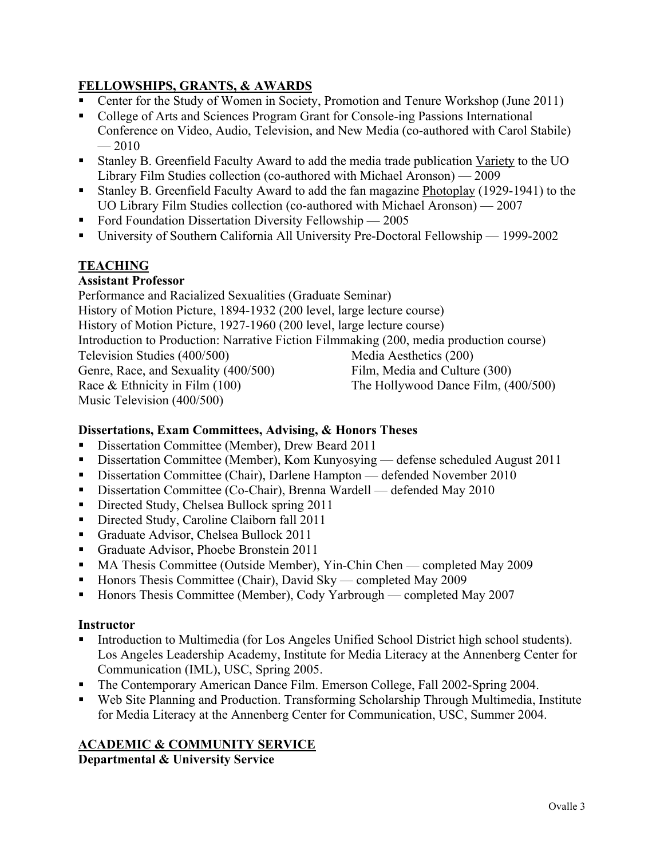# **FELLOWSHIPS, GRANTS, & AWARDS**

- Center for the Study of Women in Society, Promotion and Tenure Workshop (June 2011)
- College of Arts and Sciences Program Grant for Console-ing Passions International Conference on Video, Audio, Television, and New Media (co-authored with Carol Stabile)  $-2010$
- Stanley B. Greenfield Faculty Award to add the media trade publication Variety to the UO Library Film Studies collection (co-authored with Michael Aronson) — 2009
- Stanley B. Greenfield Faculty Award to add the fan magazine Photoplay (1929-1941) to the UO Library Film Studies collection (co-authored with Michael Aronson) — 2007
- Ford Foundation Dissertation Diversity Fellowship 2005
- University of Southern California All University Pre-Doctoral Fellowship 1999-2002

# **TEACHING**

### **Assistant Professor**

Performance and Racialized Sexualities (Graduate Seminar) History of Motion Picture, 1894-1932 (200 level, large lecture course) History of Motion Picture, 1927-1960 (200 level, large lecture course) Introduction to Production: Narrative Fiction Filmmaking (200, media production course) Television Studies (400/500) Media Aesthetics (200) Genre, Race, and Sexuality (400/500) Film, Media and Culture (300) Race & Ethnicity in Film (100) The Hollywood Dance Film, (400/500) Music Television (400/500)

#### **Dissertations, Exam Committees, Advising, & Honors Theses**

- Dissertation Committee (Member), Drew Beard 2011
- Dissertation Committee (Member), Kom Kunyosying defense scheduled August 2011
- Dissertation Committee (Chair), Darlene Hampton defended November 2010
- Dissertation Committee (Co-Chair), Brenna Wardell defended May 2010
- Directed Study, Chelsea Bullock spring 2011
- Directed Study, Caroline Claiborn fall 2011
- Graduate Advisor, Chelsea Bullock 2011
- Graduate Advisor, Phoebe Bronstein 2011
- MA Thesis Committee (Outside Member), Yin-Chin Chen completed May 2009
- Honors Thesis Committee (Chair), David Sky completed May 2009
- Honors Thesis Committee (Member), Cody Yarbrough completed May 2007

#### **Instructor**

- Introduction to Multimedia (for Los Angeles Unified School District high school students). Los Angeles Leadership Academy, Institute for Media Literacy at the Annenberg Center for Communication (IML), USC, Spring 2005.
- The Contemporary American Dance Film. Emerson College, Fall 2002-Spring 2004.
- Web Site Planning and Production. Transforming Scholarship Through Multimedia, Institute for Media Literacy at the Annenberg Center for Communication, USC, Summer 2004.

# **ACADEMIC & COMMUNITY SERVICE**

**Departmental & University Service**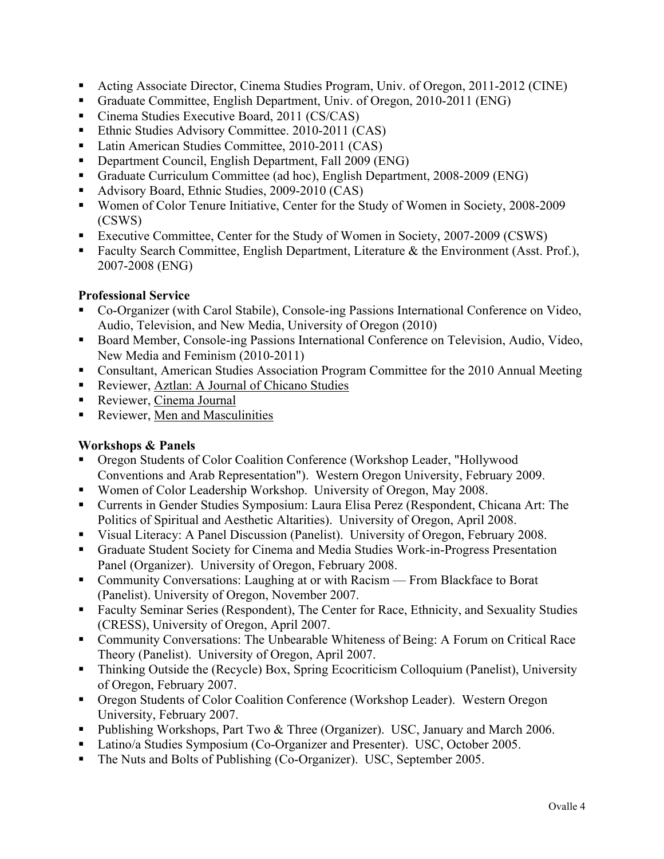- Acting Associate Director, Cinema Studies Program, Univ. of Oregon, 2011-2012 (CINE)
- Graduate Committee, English Department, Univ. of Oregon, 2010-2011 (ENG)
- Cinema Studies Executive Board, 2011 (CS/CAS)
- Ethnic Studies Advisory Committee. 2010-2011 (CAS)
- Latin American Studies Committee, 2010-2011 (CAS)
- Department Council, English Department, Fall 2009 (ENG)
- Graduate Curriculum Committee (ad hoc), English Department, 2008-2009 (ENG)
- Advisory Board, Ethnic Studies, 2009-2010 (CAS)
- Women of Color Tenure Initiative, Center for the Study of Women in Society, 2008-2009 (CSWS)
- Executive Committee, Center for the Study of Women in Society, 2007-2009 (CSWS)
- Faculty Search Committee, English Department, Literature & the Environment (Asst. Prof.), 2007-2008 (ENG)

#### **Professional Service**

- Co-Organizer (with Carol Stabile), Console-ing Passions International Conference on Video, Audio, Television, and New Media, University of Oregon (2010)
- Board Member, Console-ing Passions International Conference on Television, Audio, Video, New Media and Feminism (2010-2011)
- Consultant, American Studies Association Program Committee for the 2010 Annual Meeting
- Reviewer, Aztlan: A Journal of Chicano Studies
- Reviewer, Cinema Journal
- **Reviewer, Men and Masculinities**

#### **Workshops & Panels**

- Oregon Students of Color Coalition Conference (Workshop Leader, "Hollywood Conventions and Arab Representation"). Western Oregon University, February 2009.
- Women of Color Leadership Workshop. University of Oregon, May 2008.
- Currents in Gender Studies Symposium: Laura Elisa Perez (Respondent, Chicana Art: The Politics of Spiritual and Aesthetic Altarities). University of Oregon, April 2008.
- Visual Literacy: A Panel Discussion (Panelist). University of Oregon, February 2008.
- Graduate Student Society for Cinema and Media Studies Work-in-Progress Presentation Panel (Organizer). University of Oregon, February 2008.
- Community Conversations: Laughing at or with Racism From Blackface to Borat (Panelist). University of Oregon, November 2007.
- Faculty Seminar Series (Respondent), The Center for Race, Ethnicity, and Sexuality Studies (CRESS), University of Oregon, April 2007.
- Community Conversations: The Unbearable Whiteness of Being: A Forum on Critical Race Theory (Panelist). University of Oregon, April 2007.
- Thinking Outside the (Recycle) Box, Spring Ecocriticism Colloquium (Panelist), University of Oregon, February 2007.
- Oregon Students of Color Coalition Conference (Workshop Leader). Western Oregon University, February 2007.
- **Publishing Workshops, Part Two & Three (Organizer). USC, January and March 2006.**
- Latino/a Studies Symposium (Co-Organizer and Presenter). USC, October 2005.
- The Nuts and Bolts of Publishing (Co-Organizer). USC, September 2005.